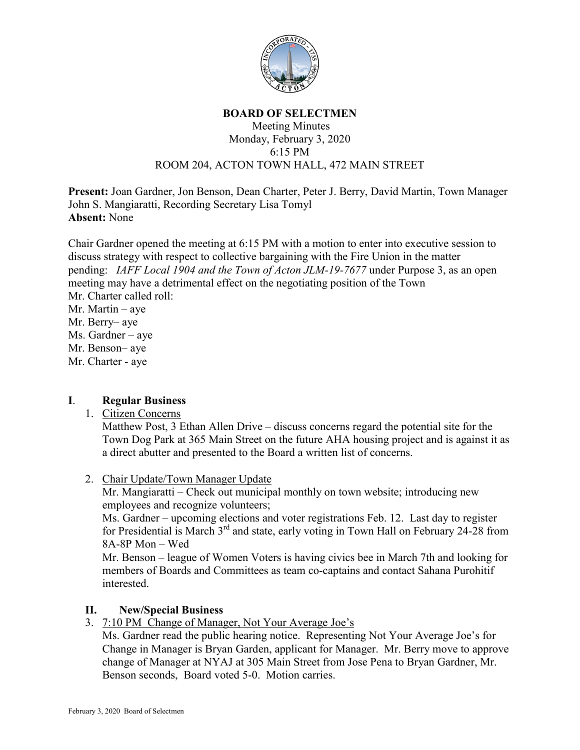

#### **BOARD OF SELECTMEN**

#### Meeting Minutes Monday, February 3, 2020 6:15 PM ROOM 204, ACTON TOWN HALL, 472 MAIN STREET

**Present:** Joan Gardner, Jon Benson, Dean Charter, Peter J. Berry, David Martin, Town Manager John S. Mangiaratti, Recording Secretary Lisa Tomyl **Absent:** None

Chair Gardner opened the meeting at 6:15 PM with a motion to enter into executive session to discuss strategy with respect to collective bargaining with the Fire Union in the matter pending: *IAFF Local 1904 and the Town of Acton JLM-19-7677* under Purpose 3, as an open meeting may have a detrimental effect on the negotiating position of the Town Mr. Charter called roll: Mr. Martin – aye Mr. Berry– aye

Ms. Gardner – aye

Mr. Benson– aye

Mr. Charter - aye

## **I**. **Regular Business**

## 1. Citizen Concerns

Matthew Post, 3 Ethan Allen Drive – discuss concerns regard the potential site for the Town Dog Park at 365 Main Street on the future AHA housing project and is against it as a direct abutter and presented to the Board a written list of concerns.

2. Chair Update/Town Manager Update

Mr. Mangiaratti – Check out municipal monthly on town website; introducing new employees and recognize volunteers;

Ms. Gardner – upcoming elections and voter registrations Feb. 12. Last day to register for Presidential is March 3rd and state, early voting in Town Hall on February 24-28 from 8A-8P Mon – Wed

Mr. Benson – league of Women Voters is having civics bee in March 7th and looking for members of Boards and Committees as team co-captains and contact Sahana Purohitif interested.

## **II. New/Special Business**

3. 7:10 PM Change of Manager, Not Your Average Joe's

Ms. Gardner read the public hearing notice. Representing Not Your Average Joe's for Change in Manager is Bryan Garden, applicant for Manager. Mr. Berry move to approve change of Manager at NYAJ at 305 Main Street from Jose Pena to Bryan Gardner, Mr. Benson seconds, Board voted 5-0. Motion carries.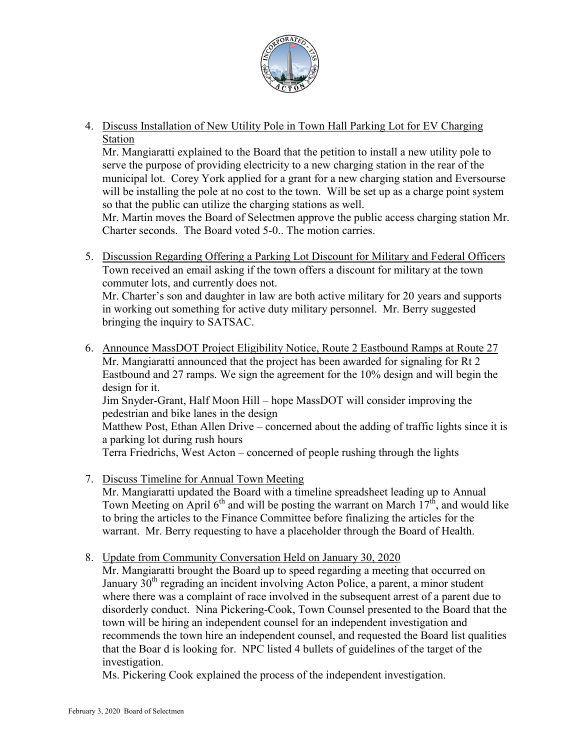

4. Discuss Installation of New Utility Pole in Town Hall Parking Lot for EV Charging Station

Mr. Mangiaratti explained to the Board that the petition to install a new utility pole to serve the purpose of providing electricity to a new charging station in the rear of the municipal lot. Corey York applied for a grant for a new charging station and Eversourse will be installing the pole at no cost to the town. Will be set up as a charge point system so that the public can utilize the charging stations as well.

Mr. Martin moves the Board of Selectmen approve the public access charging station Mr. Charter seconds. The Board voted 5-0.. The motion carries.

5. Discussion Regarding Offering a Parking Lot Discount for Military and Federal Officers Town received an email asking if the town offers a discount for military at the town commuter lots, and currently does not.

Mr. Charter's son and daughter in law are both active military for 20 years and supports in working out something for active duty military personnel. Mr. Berry suggested bringing the inquiry to SATSAC.

- 6. Announce MassDOT Project Eligibility Notice, Route 2 Eastbound Ramps at Route 27 Mr. Mangiaratti announced that the project has been awarded for signaling for Rt 2 Eastbound and 27 ramps. We sign the agreement for the 10% design and will begin the design for it. Jim Snyder-Grant, Half Moon Hill – hope MassDOT will consider improving the pedestrian and bike lanes in the design Matthew Post, Ethan Allen Drive – concerned about the adding of traffic lights since it is a parking lot during rush hours Terra Friedrichs, West Acton – concerned of people rushing through the lights
- 7. Discuss Timeline for Annual Town Meeting Mr. Mangiaratti updated the Board with a timeline spreadsheet leading up to Annual Town Meeting on April  $6<sup>th</sup>$  and will be posting the warrant on March  $17<sup>th</sup>$ , and would like to bring the articles to the Finance Committee before finalizing the articles for the warrant. Mr. Berry requesting to have a placeholder through the Board of Health.
- 8. Update from Community Conversation Held on January 30, 2020

Mr. Mangiaratti brought the Board up to speed regarding a meeting that occurred on January 30<sup>th</sup> regrading an incident involving Acton Police, a parent, a minor student where there was a complaint of race involved in the subsequent arrest of a parent due to disorderly conduct. Nina Pickering-Cook, Town Counsel presented to the Board that the town will be hiring an independent counsel for an independent investigation and recommends the town hire an independent counsel, and requested the Board list qualities that the Boar d is looking for. NPC listed 4 bullets of guidelines of the target of the investigation.

Ms. Pickering Cook explained the process of the independent investigation.